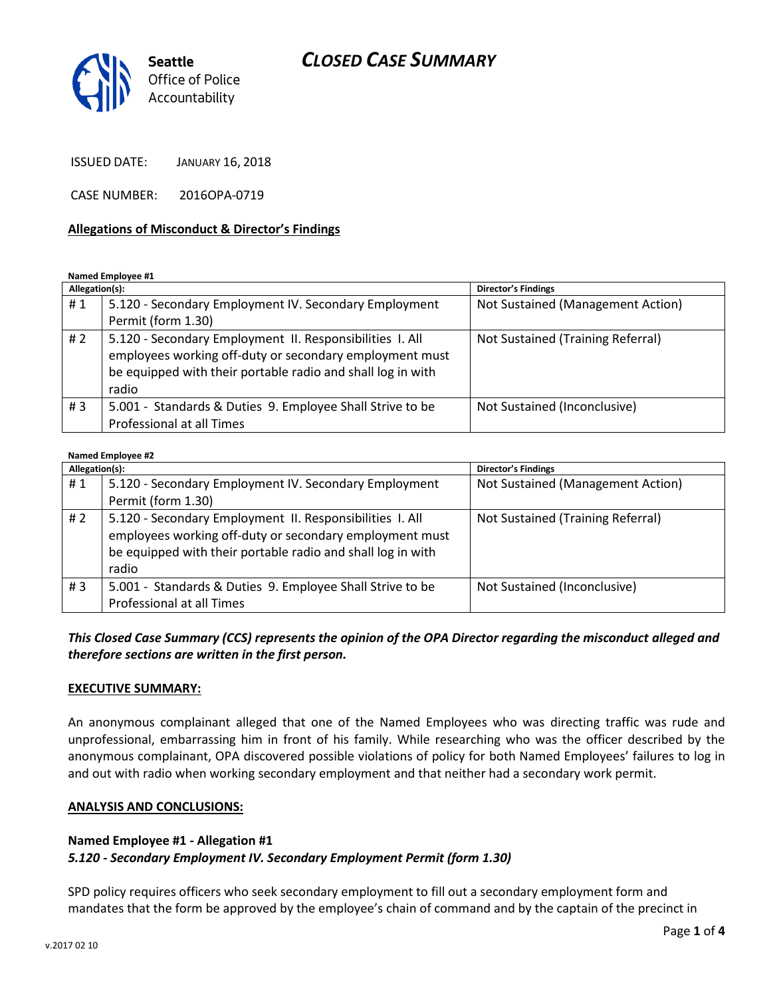# *CLOSED CASE SUMMARY*



ISSUED DATE: JANUARY 16, 2018

CASE NUMBER: 2016OPA-0719

#### **Allegations of Misconduct & Director's Findings**

**Named Employee #1**

| Allegation(s): |                                                                                                                                                                                             | Director's Findings               |
|----------------|---------------------------------------------------------------------------------------------------------------------------------------------------------------------------------------------|-----------------------------------|
| #1             | 5.120 - Secondary Employment IV. Secondary Employment                                                                                                                                       | Not Sustained (Management Action) |
|                | Permit (form 1.30)                                                                                                                                                                          |                                   |
| #2             | 5.120 - Secondary Employment II. Responsibilities I. All<br>employees working off-duty or secondary employment must<br>be equipped with their portable radio and shall log in with<br>radio | Not Sustained (Training Referral) |
| #3             | 5.001 - Standards & Duties 9. Employee Shall Strive to be<br>Professional at all Times                                                                                                      | Not Sustained (Inconclusive)      |

#### **Named Employee #2**

| Allegation(s): |                                                                                                                                                                                             | <b>Director's Findings</b>        |
|----------------|---------------------------------------------------------------------------------------------------------------------------------------------------------------------------------------------|-----------------------------------|
| #1             | 5.120 - Secondary Employment IV. Secondary Employment                                                                                                                                       | Not Sustained (Management Action) |
|                | Permit (form 1.30)                                                                                                                                                                          |                                   |
| #2             | 5.120 - Secondary Employment II. Responsibilities I. All<br>employees working off-duty or secondary employment must<br>be equipped with their portable radio and shall log in with<br>radio | Not Sustained (Training Referral) |
| #3             | 5.001 - Standards & Duties 9. Employee Shall Strive to be<br>Professional at all Times                                                                                                      | Not Sustained (Inconclusive)      |

## *This Closed Case Summary (CCS) represents the opinion of the OPA Director regarding the misconduct alleged and therefore sections are written in the first person.*

#### **EXECUTIVE SUMMARY:**

An anonymous complainant alleged that one of the Named Employees who was directing traffic was rude and unprofessional, embarrassing him in front of his family. While researching who was the officer described by the anonymous complainant, OPA discovered possible violations of policy for both Named Employees' failures to log in and out with radio when working secondary employment and that neither had a secondary work permit.

#### **ANALYSIS AND CONCLUSIONS:**

#### **Named Employee #1 - Allegation #1**

### *5.120 - Secondary Employment IV. Secondary Employment Permit (form 1.30)*

SPD policy requires officers who seek secondary employment to fill out a secondary employment form and mandates that the form be approved by the employee's chain of command and by the captain of the precinct in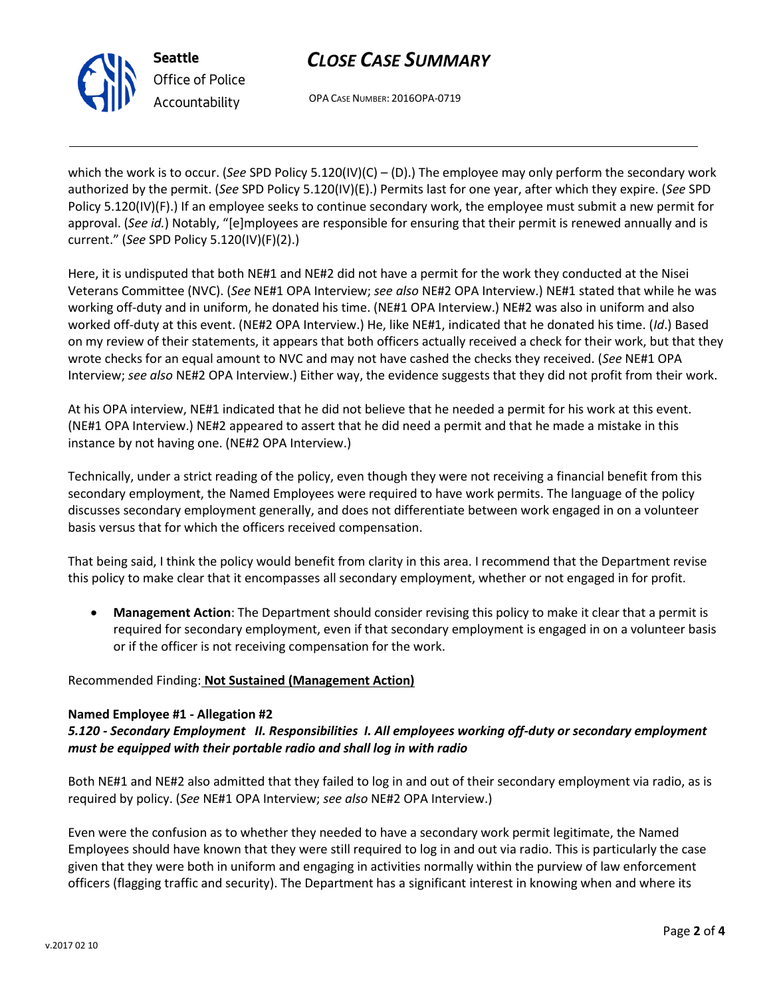# *CLOSE CASE SUMMARY*



*Office of Police Accountability*

OPA CASE NUMBER: 2016OPA-0719

which the work is to occur. (*See* SPD Policy 5.120(IV)(C) – (D).) The employee may only perform the secondary work authorized by the permit. (*See* SPD Policy 5.120(IV)(E).) Permits last for one year, after which they expire. (*See* SPD Policy 5.120(IV)(F).) If an employee seeks to continue secondary work, the employee must submit a new permit for approval. (*See id.*) Notably, "[e]mployees are responsible for ensuring that their permit is renewed annually and is current." (*See* SPD Policy 5.120(IV)(F)(2).)

Here, it is undisputed that both NE#1 and NE#2 did not have a permit for the work they conducted at the Nisei Veterans Committee (NVC). (*See* NE#1 OPA Interview; *see also* NE#2 OPA Interview.) NE#1 stated that while he was working off-duty and in uniform, he donated his time. (NE#1 OPA Interview.) NE#2 was also in uniform and also worked off-duty at this event. (NE#2 OPA Interview.) He, like NE#1, indicated that he donated his time. (*Id*.) Based on my review of their statements, it appears that both officers actually received a check for their work, but that they wrote checks for an equal amount to NVC and may not have cashed the checks they received. (*See* NE#1 OPA Interview; *see also* NE#2 OPA Interview.) Either way, the evidence suggests that they did not profit from their work.

At his OPA interview, NE#1 indicated that he did not believe that he needed a permit for his work at this event. (NE#1 OPA Interview.) NE#2 appeared to assert that he did need a permit and that he made a mistake in this instance by not having one. (NE#2 OPA Interview.)

Technically, under a strict reading of the policy, even though they were not receiving a financial benefit from this secondary employment, the Named Employees were required to have work permits. The language of the policy discusses secondary employment generally, and does not differentiate between work engaged in on a volunteer basis versus that for which the officers received compensation.

That being said, I think the policy would benefit from clarity in this area. I recommend that the Department revise this policy to make clear that it encompasses all secondary employment, whether or not engaged in for profit.

• **Management Action**: The Department should consider revising this policy to make it clear that a permit is required for secondary employment, even if that secondary employment is engaged in on a volunteer basis or if the officer is not receiving compensation for the work.

# Recommended Finding: **Not Sustained (Management Action)**

# **Named Employee #1 - Allegation #2**

# *5.120 - Secondary Employment II. Responsibilities I. All employees working off-duty or secondary employment must be equipped with their portable radio and shall log in with radio*

Both NE#1 and NE#2 also admitted that they failed to log in and out of their secondary employment via radio, as is required by policy. (*See* NE#1 OPA Interview; *see also* NE#2 OPA Interview.)

Even were the confusion as to whether they needed to have a secondary work permit legitimate, the Named Employees should have known that they were still required to log in and out via radio. This is particularly the case given that they were both in uniform and engaging in activities normally within the purview of law enforcement officers (flagging traffic and security). The Department has a significant interest in knowing when and where its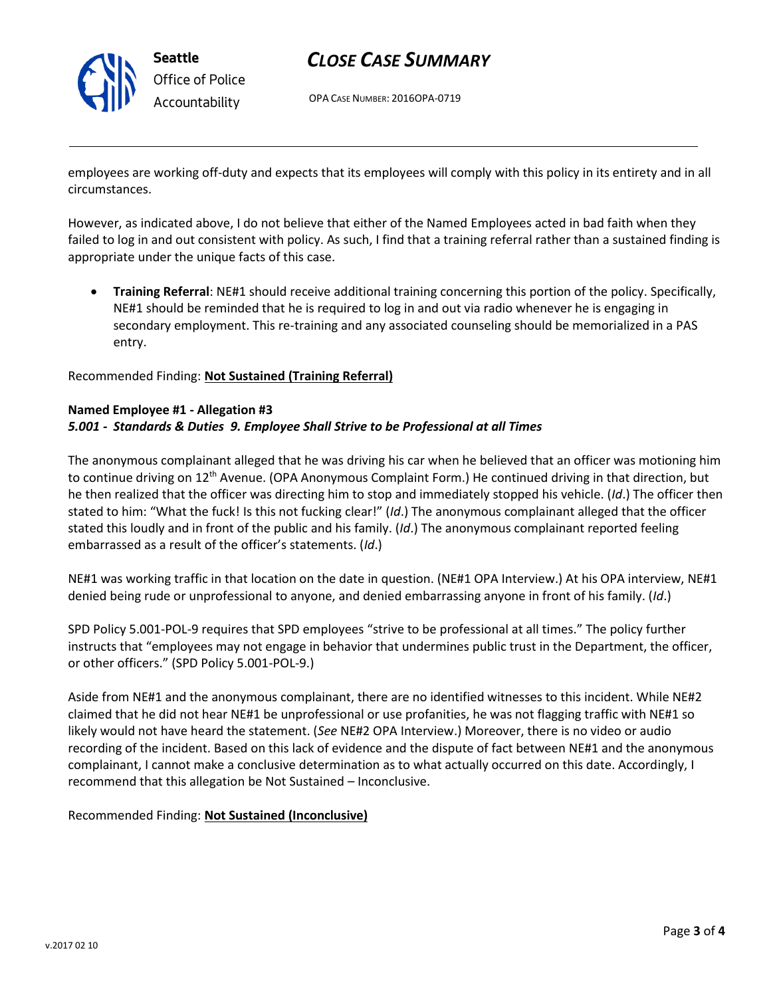

# *CLOSE CASE SUMMARY*

OPA CASE NUMBER: 2016OPA-0719

employees are working off-duty and expects that its employees will comply with this policy in its entirety and in all circumstances.

However, as indicated above, I do not believe that either of the Named Employees acted in bad faith when they failed to log in and out consistent with policy. As such, I find that a training referral rather than a sustained finding is appropriate under the unique facts of this case.

• **Training Referral**: NE#1 should receive additional training concerning this portion of the policy. Specifically, NE#1 should be reminded that he is required to log in and out via radio whenever he is engaging in secondary employment. This re-training and any associated counseling should be memorialized in a PAS entry.

Recommended Finding: **Not Sustained (Training Referral)**

#### **Named Employee #1 - Allegation #3**

### *5.001 - Standards & Duties 9. Employee Shall Strive to be Professional at all Times*

The anonymous complainant alleged that he was driving his car when he believed that an officer was motioning him to continue driving on 12<sup>th</sup> Avenue. (OPA Anonymous Complaint Form.) He continued driving in that direction, but he then realized that the officer was directing him to stop and immediately stopped his vehicle. (*Id*.) The officer then stated to him: "What the fuck! Is this not fucking clear!" (*Id*.) The anonymous complainant alleged that the officer stated this loudly and in front of the public and his family. (*Id*.) The anonymous complainant reported feeling embarrassed as a result of the officer's statements. (*Id*.)

NE#1 was working traffic in that location on the date in question. (NE#1 OPA Interview.) At his OPA interview, NE#1 denied being rude or unprofessional to anyone, and denied embarrassing anyone in front of his family. (*Id*.)

SPD Policy 5.001-POL-9 requires that SPD employees "strive to be professional at all times." The policy further instructs that "employees may not engage in behavior that undermines public trust in the Department, the officer, or other officers." (SPD Policy 5.001-POL-9.)

Aside from NE#1 and the anonymous complainant, there are no identified witnesses to this incident. While NE#2 claimed that he did not hear NE#1 be unprofessional or use profanities, he was not flagging traffic with NE#1 so likely would not have heard the statement. (*See* NE#2 OPA Interview.) Moreover, there is no video or audio recording of the incident. Based on this lack of evidence and the dispute of fact between NE#1 and the anonymous complainant, I cannot make a conclusive determination as to what actually occurred on this date. Accordingly, I recommend that this allegation be Not Sustained – Inconclusive.

### Recommended Finding: **Not Sustained (Inconclusive)**